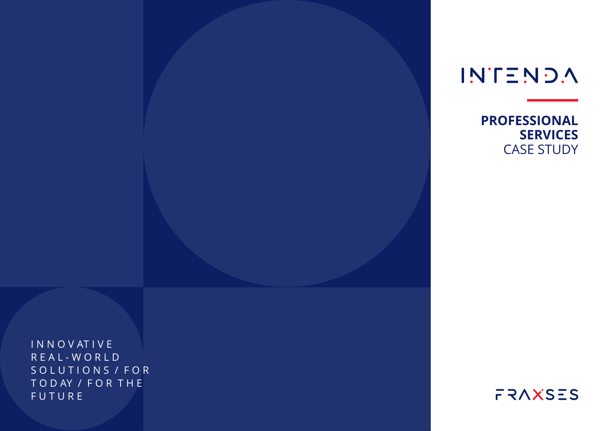**INTENDA** 

**PROFESSIONAL SERVICES** CASE STUDY

I N N O V AT I V E R E A L - W O R L D SOLUTIONS / FOR T O D AY / F O R T H E F U T U R E

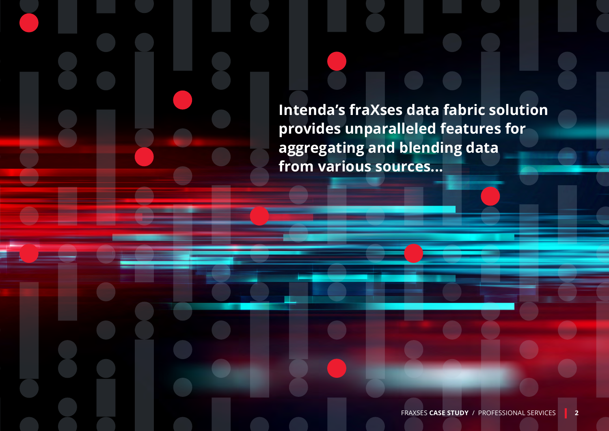**Intenda's fraXses data fabric solution provides unparalleled features for aggregating and blending data from various sources...**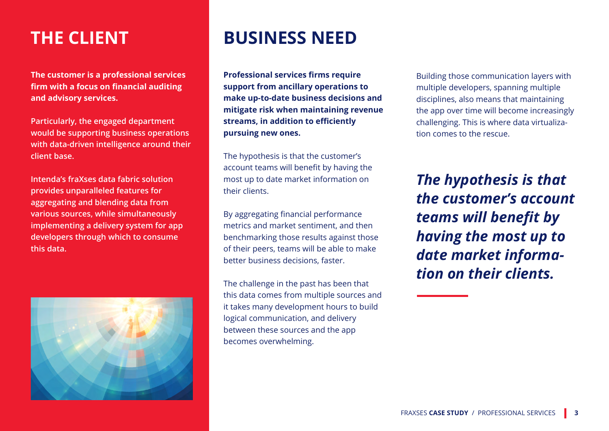**The customer is a professional services firm with a focus on financial auditing and advisory services.**

**Particularly, the engaged department would be supporting business operations with data-driven intelligence around their client base.**

**Intenda's fraXses data fabric solution provides unparalleled features for aggregating and blending data from various sources, while simultaneously implementing a delivery system for app developers through which to consume this data.**



## **THE CLIENT BUSINESS NEED**

**Professional services firms require support from ancillary operations to make up-to-date business decisions and mitigate risk when maintaining revenue streams, in addition to efficiently pursuing new ones.**

The hypothesis is that the customer's account teams will benefit by having the most up to date market information on their clients.

By aggregating financial performance metrics and market sentiment, and then benchmarking those results against those of their peers, teams will be able to make better business decisions, faster.

The challenge in the past has been that this data comes from multiple sources and it takes many development hours to build logical communication, and delivery between these sources and the app becomes overwhelming.

Building those communication layers with multiple developers, spanning multiple disciplines, also means that maintaining the app over time will become increasingly challenging. This is where data virtualization comes to the rescue.

*The hypothesis is that the customer's account teams will benefit by having the most up to date market information on their clients.*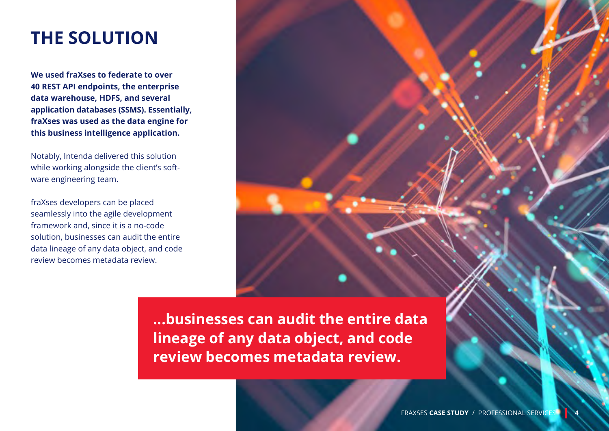### **THE SOLUTION**

**We used fraXses to federate to over 40 REST API endpoints, the enterprise data warehouse, HDFS, and several application databases (SSMS). Essentially, fraXses was used as the data engine for this business intelligence application.** 

Notably, Intenda delivered this solution while working alongside the client's software engineering team.

fraXses developers can be placed seamlessly into the agile development framework and, since it is a no-code solution, businesses can audit the entire data lineage of any data object, and code review becomes metadata review.

> **...businesses can audit the entire data lineage of any data object, and code review becomes metadata review.**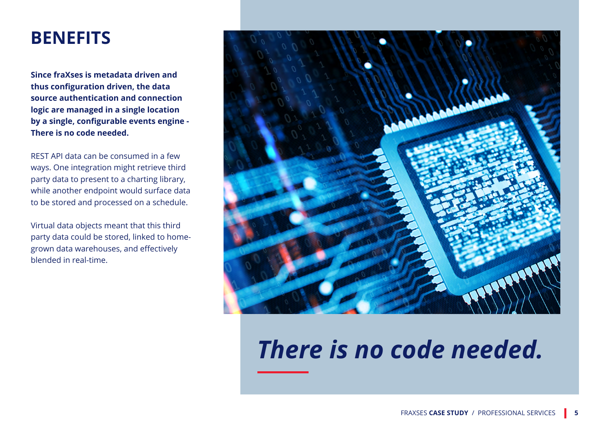#### **BENEFITS**

**Since fraXses is metadata driven and thus configuration driven, the data source authentication and connection logic are managed in a single location by a single, configurable events engine - There is no code needed.** 

REST API data can be consumed in a few ways. One integration might retrieve third party data to present to a charting library, while another endpoint would surface data to be stored and processed on a schedule.

Virtual data objects meant that this third party data could be stored, linked to homegrown data warehouses, and effectively blended in real-time.



# *There is no code needed.*